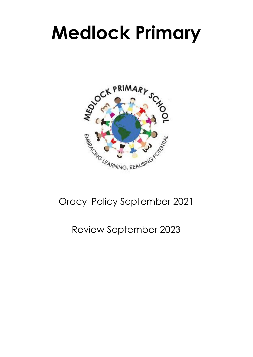# **Medlock Primary**



# Oracy Policy September 2021

# Review September 2023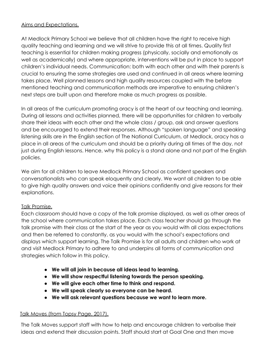#### Aims and Expectations.

At Medlock Primary School we believe that all children have the right to receive high quality teaching and learning and we will strive to provide this at all times. Quality first teaching is essential for children making progress (physically, socially and emotionally as well as academically) and where appropriate, interventions will be put in place to support children's individual needs. Communication: both with each other and with their parents is crucial to ensuring the same strategies are used and continued in all areas where learning takes place. Well planned lessons and high quality resources coupled with the before mentioned teaching and communication methods are imperative to ensuring children's next steps are built upon and therefore make as much progress as possible.

In all areas of the curriculum promoting oracy is at the heart of our teaching and learning. During all lessons and activities planned, there will be opportunities for children to verbally share their ideas with each other and the whole class / group, ask and answer questions and be encouraged to extend their responses. Although "spoken language" and speaking listening skills are in the English section of The National Curriculum, at Medlock, oracy has a place in all areas of the curriculum and should be a priority during all times of the day, not just during English lessons. Hence, why this policy is a stand alone and not part of the English policies.

We aim for all children to leave Medlock Primary School as confident speakers and conversationalists who can speak eloquently and clearly. We want all children to be able to give high quality answers and voice their opinions confidently and give reasons for their explanations.

# Talk Promise.

Each classroom should have a copy of the talk promise displayed, as well as other areas of the school where communication takes place. Each class teacher should go through the talk promise with their class at the start of the year as you would with all class expectations and then be referred to constantly, as you would with the school's expectations and displays which support learning. The Talk Promise is for all adults and children who work at and visit Medlock Primary to adhere to and underpins all forms of communication and strategies which follow in this policy.

- **● We will all join in because all ideas lead to learning.**
- **● We will show respectful listening towards the person speaking.**
- **● We will give each other time to think and respond.**
- **● We will speak clearly so everyone can be heard.**
- **● We will ask relevant questions because we want to learn more.**

# Talk Moves (from Topsy Page, 2017).

The Talk Moves support staff with how to help and encourage children to verbalise their ideas and extend their discussion points. Staff should start at Goal One and then move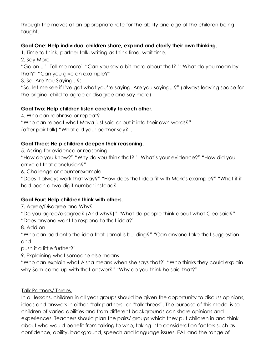through the moves at an appropriate rate for the ability and age of the children being taught.

#### **Goal One: Help individual children share, expand and clarify their own thinking.**

1. Time to think, partner talk, writing as think time, wait time.

2. Say More

"Go on..." "Tell me more" "Can you say a bit more about that?" "What do you mean by that?" "Can you give an example?"

3. So, Are You Saying...?:

"So, let me see if I've got what you're saying. Are you saying...?" (always leaving space for the original child to agree or disagree and say more)

#### **Goal Two: Help children listen carefully to each other.**

4. Who can rephrase or repeat?

"Who can repeat what Maya just said or put it into their own words?"

(after pair talk) "What did your partner say?".

# **Goal Three: Help children deepen their reasoning.**

5. Asking for evidence or reasoning

"How do you know?" "Why do you think that?" "What's your evidence?" "How did you arrive at that conclusion?"

6. Challenge or counterexample

"Does it always work that way?" "How does that idea fit with Mark's example?" "What if it had been a two digit number instead?

# **Goal Four: Help children think with others.**

7. Agree/Disagree and Why?

"Do you agree/disagree? (And why?)" "What do people think about what Cleo said?" "Does anyone want to respond to that idea?"

8. Add on

"Who can add onto the idea that Jamal is building?" "Can anyone take that suggestion and

push it a little further?"

9. Explaining what someone else means

"Who can explain what Aisha means when she says that?" "Who thinks they could explain why Sam came up with that answer?" "Why do you think he said that?"

# Talk Partners/ Threes.

In all lessons, children in all year groups should be given the opportunity to discuss opinions, ideas and answers in either "talk partners" or "talk threes". The purpose of this model is so children of varied abilities and from different backgrounds can share opinions and experiences. Teachers should plan the pairs/ groups which they put children in and think about who would benefit from talking to who, taking into consideration factors such as confidence, ability, background, speech and language issues, EAL and the range of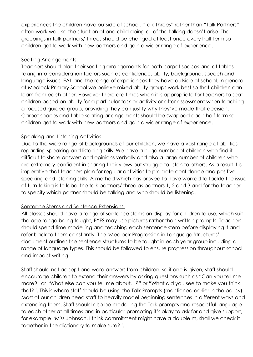experiences the children have outside of school. "Talk Threes" rather than "Talk Partners" often work well, so the situation of one child doing all of the talking doesn't arise. The groupings in talk partners/ threes should be changed at least once every half term so children get to work with new partners and gain a wider range of experience.

#### Seating Arrangements.

Teachers should plan their seating arrangements for both carpet spaces and at tables taking into consideration factors such as confidence, ability, background, speech and language issues, EAL and the range of experiences they have outside of school. In general, at Medlock Primary School we believe mixed ability groups work best so that children can learn from each other. However there are times when it is appropriate for teachers to seat children based on ability for a particular task or activity or after assessment when teaching a focused guided group, providing they can justify why they've made that decision. Carpet spaces and table seating arrangements should be swapped each half term so children get to work with new partners and gain a wider range of experience.

#### Speaking and Listening Activities.

Due to the wide range of backgrounds of our children, we have a vast range of abilities regarding speaking and listening skills. We have a huge number of children who find it difficult to share answers and opinions verbally and also a large number of children who are extremely confident in sharing their views but struggle to listen to others. As a result it is imperative that teachers plan for regular activities to promote confidence and positive speaking and listening skills. A method which has proved to have worked to tackle the issue of turn taking is to label the talk partners/ three as partners 1, 2 and 3 and for the teacher to specify which partner should be talking and who should be listening.

# Sentence Stems and Sentence Extensions.

All classes should have a range of sentence stems on display for children to use, which suit the age range being taught, EYFS may use pictures rather than written prompts. Teachers should spend time modelling and teaching each sentence stem before displaying it and refer back to them constantly. The 'Medlock Progression in Language Structures' document outlines the sentence structures to be taught in each year group including a range of language types. This should be followed to ensure progression throughout school and impact writing.

Staff should not accept one word answers from children, so if one is given, staff should encourage children to extend their answers by asking questions such as "Can you tell me more?" or "What else can you tell me about…?" or "What did you see to make you think that?". This is where staff should be using the Talk Prompts (mentioned earlier in the policy). Most of our children need staff to heavily model beginning sentences in different ways and extending them. Staff should also be modelling the Talk prompts and respectful language to each other at all times and in particular promoting it's okay to ask for and give support, for example "Miss Johnson, I think commitment might have a double m, shall we check it together in the dictionary to make sure?".